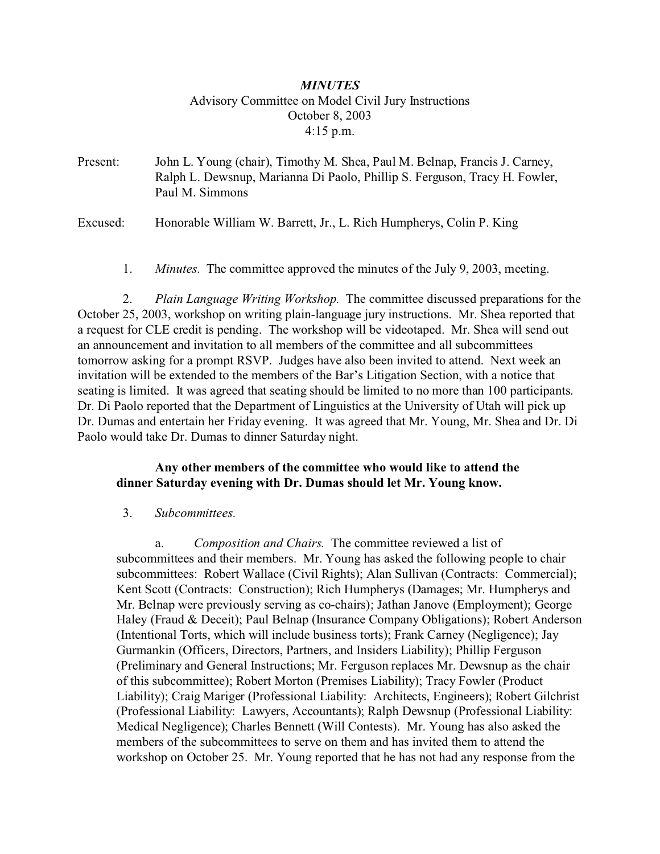# *MINUTES* Advisory Committee on Model Civil Jury Instructions October 8, 2003 4:15 p.m.

Present: John L. Young (chair), Timothy M. Shea, Paul M. Belnap, Francis J. Carney, Ralph L. Dewsnup, Marianna Di Paolo, Phillip S. Ferguson, Tracy H. Fowler, Paul M. Simmons

Excused: Honorable William W. Barrett, Jr., L. Rich Humpherys, Colin P. King

1. *Minutes.* The committee approved the minutes of the July 9, 2003, meeting.

 2. *Plain Language Writing Workshop.* The committee discussed preparations for the October 25, 2003, workshop on writing plain-language jury instructions. Mr. Shea reported that a request for CLE credit is pending. The workshop will be videotaped. Mr. Shea will send out an announcement and invitation to all members of the committee and all subcommittees tomorrow asking for a prompt RSVP. Judges have also been invited to attend. Next week an invitation will be extended to the members of the Bar's Litigation Section, with a notice that seating is limited. It was agreed that seating should be limited to no more than 100 participants. Dr. Di Paolo reported that the Department of Linguistics at the University of Utah will pick up Dr. Dumas and entertain her Friday evening. It was agreed that Mr. Young, Mr. Shea and Dr. Di Paolo would take Dr. Dumas to dinner Saturday night.

### **Any other members of the committee who would like to attend the dinner Saturday evening with Dr. Dumas should let Mr. Young know.**

### 3. *Subcommittees.*

a. *Composition and Chairs.* The committee reviewed a list of subcommittees and their members. Mr. Young has asked the following people to chair subcommittees: Robert Wallace (Civil Rights); Alan Sullivan (Contracts: Commercial); Kent Scott (Contracts: Construction); Rich Humpherys (Damages; Mr. Humpherys and Mr. Belnap were previously serving as co-chairs); Jathan Janove (Employment); George Haley (Fraud & Deceit); Paul Belnap (Insurance Company Obligations); Robert Anderson (Intentional Torts, which will include business torts); Frank Carney (Negligence); Jay Gurmankin (Officers, Directors, Partners, and Insiders Liability); Phillip Ferguson (Preliminary and General Instructions; Mr. Ferguson replaces Mr. Dewsnup as the chair of this subcommittee); Robert Morton (Premises Liability); Tracy Fowler (Product Liability); Craig Mariger (Professional Liability: Architects, Engineers); Robert Gilchrist (Professional Liability: Lawyers, Accountants); Ralph Dewsnup (Professional Liability: Medical Negligence); Charles Bennett (Will Contests). Mr. Young has also asked the members of the subcommittees to serve on them and has invited them to attend the workshop on October 25. Mr. Young reported that he has not had any response from the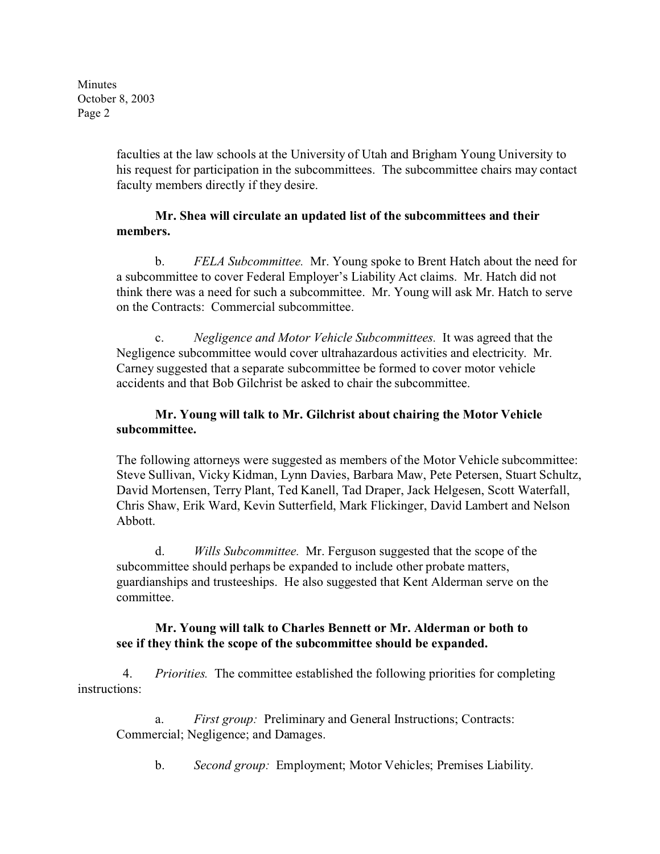Minutes October 8, 2003 Page 2

> faculties at the law schools at the University of Utah and Brigham Young University to his request for participation in the subcommittees. The subcommittee chairs may contact faculty members directly if they desire.

# **Mr. Shea will circulate an updated list of the subcommittees and their members.**

b. *FELA Subcommittee.* Mr. Young spoke to Brent Hatch about the need for a subcommittee to cover Federal Employer's Liability Act claims. Mr. Hatch did not think there was a need for such a subcommittee. Mr. Young will ask Mr. Hatch to serve on the Contracts: Commercial subcommittee.

c. *Negligence and Motor Vehicle Subcommittees.* It was agreed that the Negligence subcommittee would cover ultrahazardous activities and electricity. Mr. Carney suggested that a separate subcommittee be formed to cover motor vehicle accidents and that Bob Gilchrist be asked to chair the subcommittee.

# **Mr. Young will talk to Mr. Gilchrist about chairing the Motor Vehicle subcommittee.**

The following attorneys were suggested as members of the Motor Vehicle subcommittee: Steve Sullivan, Vicky Kidman, Lynn Davies, Barbara Maw, Pete Petersen, Stuart Schultz, David Mortensen, Terry Plant, Ted Kanell, Tad Draper, Jack Helgesen, Scott Waterfall, Chris Shaw, Erik Ward, Kevin Sutterfield, Mark Flickinger, David Lambert and Nelson Abbott.

d. *Wills Subcommittee.* Mr. Ferguson suggested that the scope of the subcommittee should perhaps be expanded to include other probate matters, guardianships and trusteeships. He also suggested that Kent Alderman serve on the committee.

### **Mr. Young will talk to Charles Bennett or Mr. Alderman or both to see if they think the scope of the subcommittee should be expanded.**

 4. *Priorities.* The committee established the following priorities for completing instructions:

a. *First group:* Preliminary and General Instructions; Contracts: Commercial; Negligence; and Damages.

b. *Second group:* Employment; Motor Vehicles; Premises Liability.